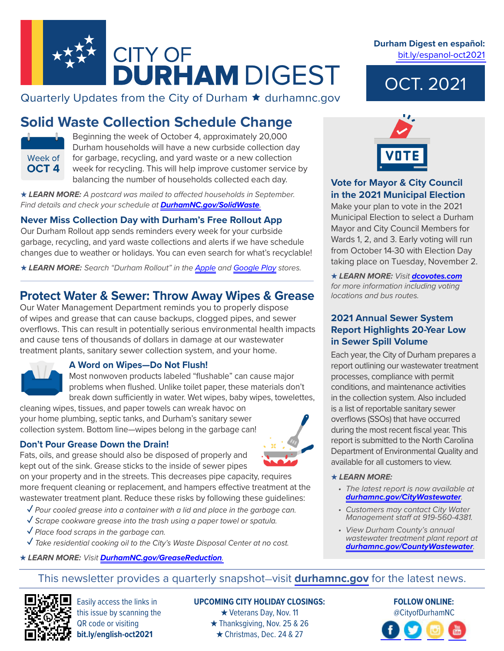

Quarterly Updates from the City of Durham  $\star$  durhamnc.gov

# **Solid Waste Collection Schedule Change**



Beginning the week of October 4, approximately 20,000 Durham households will have a new curbside collection day for garbage, recycling, and yard waste or a new collection week for recycling. This will help improve customer service by balancing the number of households collected each day.

*★ LEARN MORE: A postcard was mailed to affected households in September. Find details and check your schedule at [DurhamNC.gov/SolidWaste](https://durhamnc.gov/solidwaste).*

# **Never Miss Collection Day with Durham's Free Rollout App**

Our Durham Rollout app sends reminders every week for your curbside garbage, recycling, and yard waste collections and alerts if we have schedule changes due to weather or holidays. You can even search for what's recyclable!

*★ LEARN MORE: Search "Durham Rollout" in the [Apple](https://apps.apple.com/us/app/durham-rollout/id1431854760) and [Google Play](https://play.google.com/store/apps/details?id=gov.durhamnc.recollect.waste&hl=en_US&gl=US) stores.*

# **Protect Water & Sewer: Throw Away Wipes & Grease**

Our Water Management Department reminds you to properly dispose of wipes and grease that can cause backups, clogged pipes, and sewer overflows. This can result in potentially serious environmental health impacts and cause tens of thousands of dollars in damage at our wastewater treatment plants, sanitary sewer collection system, and your home.



### **A Word on Wipes—Do Not Flush!**

Most nonwoven products labeled "flushable" can cause major problems when flushed. Unlike toilet paper, these materials don't break down sufficiently in water. Wet wipes, baby wipes, towelettes,

cleaning wipes, tissues, and paper towels can wreak havoc on your home plumbing, septic tanks, and Durham's sanitary sewer collection system. Bottom line—wipes belong in the garbage can!

#### **Don't Pour Grease Down the Drain!**

Fats, oils, and grease should also be disposed of properly and kept out of the sink. Grease sticks to the inside of sewer pipes

on your property and in the streets. This decreases pipe capacity, requires more frequent cleaning or replacement, and hampers effective treatment at the wastewater treatment plant. Reduce these risks by following these guidelines:

- **✓** *Pour cooled grease into a container with a lid and place in the garbage can.*
- **✓** *Scrape cookware grease into the trash using a paper towel or spatula.*
- **✓** *Place food scraps in the garbage can.*
- **✓** *Take residential cooking oil to the City's Waste Disposal Center at no cost.*
- *★ LEARN MORE: Visit [DurhamNC.gov/GreaseReduction](https://durhamnc.gov/greasereduction).*



# *★ LEARN MORE:*

- *The latest report is now available at [durhamnc.gov/CityWastewater](https://durhamnc.gov/citywastewater).*
- *Customers may contact City Water Management staff at 919-560-4381.*
- *View Durham County's annual wastewater treatment plant report at [durhamnc.gov/CountyWastewater](https://durhamnc.gov/countywastewater).*

# **Durham Digest en español:**  [bit.ly/espanol-oct2021](https://bit.ly/espanol-oct2021)

OCT. 2021



### **Vote for Mayor & City Council in the 2021 Municipal Election**

Make your plan to vote in the 2021 Municipal Election to select a Durham Mayor and City Council Members for Wards 1, 2, and 3. Early voting will run from October 14-30 with Election Day taking place on Tuesday, November 2.

*★ LEARN MORE: Visit [dcovotes.com](https://www.dcovotes.com/) for more information including voting locations and bus routes.*

### **2021 Annual Sewer System Report Highlights 20-Year Low in Sewer Spill Volume**

Each year, the City of Durham prepares a report outlining our wastewater treatment processes, compliance with permit conditions, and maintenance activities in the collection system. Also included is a list of reportable sanitary sewer overflows (SSOs) that have occurred during the most recent fiscal year. This report is submitted to the North Carolina Department of Environmental Quality and available for all customers to view.

# This newsletter provides a quarterly snapshot—visit **[durhamnc.gov](http://durhamnc.gov/)** for the latest news.



Easily access the links in this issue by scanning the QR code or visiting **bit.ly/english-oct2021**

#### **UPCOMING CITY HOLIDAY CLOSINGS:**  *★* Veterans Day, Nov. 11 *★* Thanksgiving, Nov. 25 & 26 *★* Christmas, Dec. 24 & 27

# **FOLLOW ONLINE:** @CityofDurhamNC